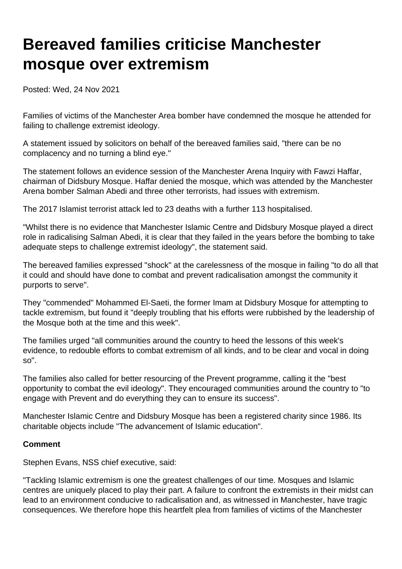## **Bereaved families criticise Manchester mosque over extremism**

Posted: Wed, 24 Nov 2021

Families of victims of the Manchester Area bomber have condemned the mosque he attended for failing to challenge extremist ideology.

A statement issued by solicitors on behalf of the bereaved families said, "there can be no complacency and no turning a blind eye."

The statement follows an evidence session of the Manchester Arena Inquiry with Fawzi Haffar, chairman of Didsbury Mosque. Haffar denied the mosque, which was attended by the Manchester Arena bomber Salman Abedi and three other terrorists, had issues with extremism.

The 2017 Islamist terrorist attack led to 23 deaths with a further 113 hospitalised.

"Whilst there is no evidence that Manchester Islamic Centre and Didsbury Mosque played a direct role in radicalising Salman Abedi, it is clear that they failed in the years before the bombing to take adequate steps to challenge extremist ideology", the statement said.

The bereaved families expressed "shock" at the carelessness of the mosque in failing "to do all that it could and should have done to combat and prevent radicalisation amongst the community it purports to serve".

They "commended" Mohammed El-Saeti, the former Imam at Didsbury Mosque for attempting to tackle extremism, but found it "deeply troubling that his efforts were rubbished by the leadership of the Mosque both at the time and this week".

The families urged "all communities around the country to heed the lessons of this week's evidence, to redouble efforts to combat extremism of all kinds, and to be clear and vocal in doing so".

The families also called for better resourcing of the Prevent programme, calling it the "best opportunity to combat the evil ideology". They encouraged communities around the country to "to engage with Prevent and do everything they can to ensure its success".

Manchester Islamic Centre and Didsbury Mosque has been a registered charity since 1986. Its charitable objects include "The advancement of Islamic education".

## **Comment**

Stephen Evans, NSS chief executive, said:

"Tackling Islamic extremism is one the greatest challenges of our time. Mosques and Islamic centres are uniquely placed to play their part. A failure to confront the extremists in their midst can lead to an environment conducive to radicalisation and, as witnessed in Manchester, have tragic consequences. We therefore hope this heartfelt plea from families of victims of the Manchester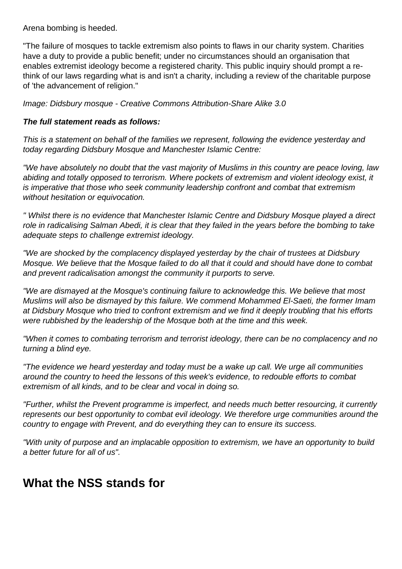Arena bombing is heeded.

"The failure of mosques to tackle extremism also points to flaws in our charity system. Charities have a duty to provide a public benefit; under no circumstances should an organisation that enables extremist ideology become a registered charity. This public inquiry should prompt a rethink of our laws regarding what is and isn't a charity, including a review of the charitable purpose of 'the advancement of religion."

Image: Didsbury mosque - Creative Commons Attribution-Share Alike 3.0

## **The full statement reads as follows:**

This is a statement on behalf of the families we represent, following the evidence yesterday and today regarding Didsbury Mosque and Manchester Islamic Centre:

"We have absolutely no doubt that the vast majority of Muslims in this country are peace loving, law abiding and totally opposed to terrorism. Where pockets of extremism and violent ideology exist, it is imperative that those who seek community leadership confront and combat that extremism without hesitation or equivocation.

" Whilst there is no evidence that Manchester Islamic Centre and Didsbury Mosque played a direct role in radicalising Salman Abedi, it is clear that they failed in the years before the bombing to take adequate steps to challenge extremist ideology.

"We are shocked by the complacency displayed yesterday by the chair of trustees at Didsbury Mosque. We believe that the Mosque failed to do all that it could and should have done to combat and prevent radicalisation amongst the community it purports to serve.

"We are dismayed at the Mosque's continuing failure to acknowledge this. We believe that most Muslims will also be dismayed by this failure. We commend Mohammed El-Saeti, the former Imam at Didsbury Mosque who tried to confront extremism and we find it deeply troubling that his efforts were rubbished by the leadership of the Mosque both at the time and this week.

"When it comes to combating terrorism and terrorist ideology, there can be no complacency and no turning a blind eye.

"The evidence we heard yesterday and today must be a wake up call. We urge all communities around the country to heed the lessons of this week's evidence, to redouble efforts to combat extremism of all kinds, and to be clear and vocal in doing so.

"Further, whilst the Prevent programme is imperfect, and needs much better resourcing, it currently represents our best opportunity to combat evil ideology. We therefore urge communities around the country to engage with Prevent, and do everything they can to ensure its success.

"With unity of purpose and an implacable opposition to extremism, we have an opportunity to build a better future for all of us".

## **What the NSS stands for**